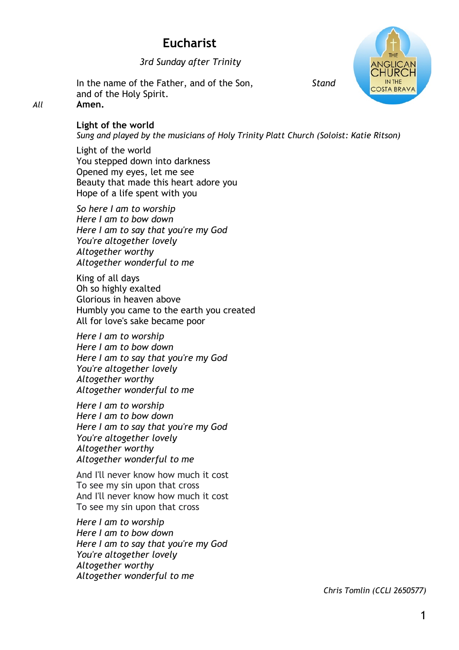# **Eucharist**

*3rd Sunday after Trinity*

In the name of the Father, and of the Son, *Stand* and of the Holy Spirit. *All* **Amen.**



#### **Light of the world**

*Sung and played by the musicians of Holy Trinity Platt Church (Soloist: Katie Ritson)*

Light of the world You stepped down into darkness Opened my eyes, let me see Beauty that made this heart adore you Hope of a life spent with you

*So here I am to worship Here I am to bow down Here I am to say that you're my God You're altogether lovely Altogether worthy Altogether wonderful to me*

King of all days Oh so highly exalted Glorious in heaven above Humbly you came to the earth you created All for love's sake became poor

*Here I am to worship Here I am to bow down Here I am to say that you're my God You're altogether lovely Altogether worthy Altogether wonderful to me*

*Here I am to worship Here I am to bow down Here I am to say that you're my God You're altogether lovely Altogether worthy Altogether wonderful to me*

And I'll never know how much it cost To see my sin upon that cross And I'll never know how much it cost To see my sin upon that cross

*Here I am to worship Here I am to bow down Here I am to say that you're my God You're altogether lovely Altogether worthy Altogether wonderful to me*

*Chris Tomlin (CCLI 2650577)*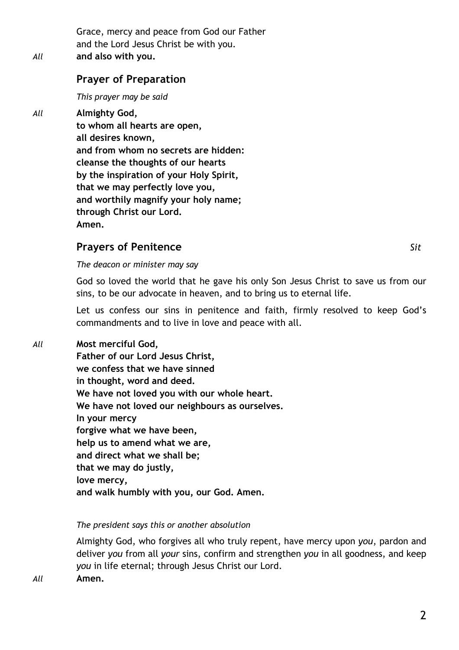Grace, mercy and peace from God our Father and the Lord Jesus Christ be with you.

*All* **and also with you.**

## **Prayer of Preparation**

*This prayer may be said*

*All* **Almighty God, to whom all hearts are open, all desires known, and from whom no secrets are hidden: cleanse the thoughts of our hearts by the inspiration of your Holy Spirit, that we may perfectly love you, and worthily magnify your holy name; through Christ our Lord. Amen.**

## **Prayers of Penitence** *Sit*

#### *The deacon or minister may say*

God so loved the world that he gave his only Son Jesus Christ to save us from our sins, to be our advocate in heaven, and to bring us to eternal life.

Let us confess our sins in penitence and faith, firmly resolved to keep God's commandments and to live in love and peace with all.

*All* **Most merciful God, Father of our Lord Jesus Christ, we confess that we have sinned in thought, word and deed. We have not loved you with our whole heart. We have not loved our neighbours as ourselves. In your mercy forgive what we have been, help us to amend what we are, and direct what we shall be; that we may do justly, love mercy, and walk humbly with you, our God. Amen.**

#### *The president says this or another absolution*

Almighty God, who forgives all who truly repent, have mercy upon *you*, pardon and deliver *you* from all *your* sins, confirm and strengthen *you* in all goodness, and keep *you* in life eternal; through Jesus Christ our Lord.

*All* **Amen.**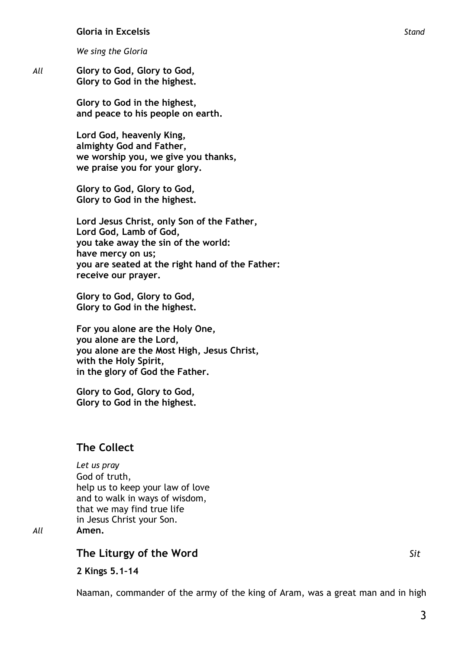**Gloria in Excelsis** *Stand*

*We sing the Gloria* 

*All* **Glory to God, Glory to God, Glory to God in the highest.**

> **Glory to God in the highest, and peace to his people on earth.**

**Lord God, heavenly King, almighty God and Father, we worship you, we give you thanks, we praise you for your glory.**

**Glory to God, Glory to God, Glory to God in the highest.**

**Lord Jesus Christ, only Son of the Father, Lord God, Lamb of God, you take away the sin of the world: have mercy on us; you are seated at the right hand of the Father: receive our prayer.**

**Glory to God, Glory to God, Glory to God in the highest.**

**For you alone are the Holy One, you alone are the Lord, you alone are the Most High, Jesus Christ, with the Holy Spirit, in the glory of God the Father.**

**Glory to God, Glory to God, Glory to God in the highest.**

## **The Collect**

*Let us pray* God of truth, help us to keep your law of love and to walk in ways of wisdom, that we may find true life in Jesus Christ your Son. *All* **Amen.**

#### **The Liturgy of the Word** *Sit*

**2 Kings 5.1–14**

Naaman, commander of the army of the king of Aram, was a great man and in high

3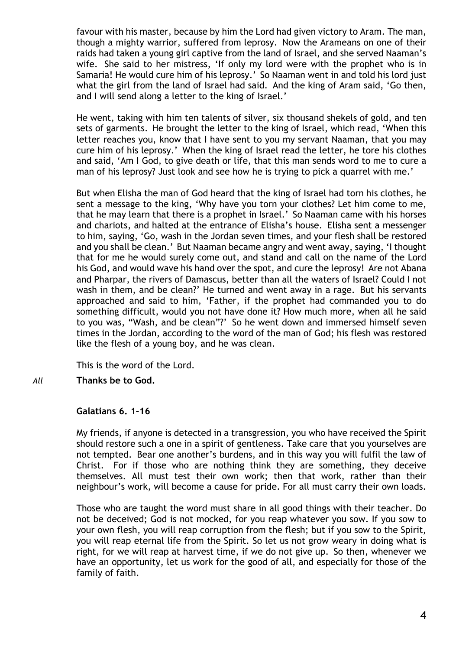favour with his master, because by him the Lord had given victory to Aram. The man, though a mighty warrior, suffered from leprosy. Now the Arameans on one of their raids had taken a young girl captive from the land of Israel, and she served Naaman's wife. She said to her mistress, 'If only my lord were with the prophet who is in Samaria! He would cure him of his leprosy.' So Naaman went in and told his lord just what the girl from the land of Israel had said. And the king of Aram said, 'Go then, and I will send along a letter to the king of Israel.'

He went, taking with him ten talents of silver, six thousand shekels of gold, and ten sets of garments. He brought the letter to the king of Israel, which read, 'When this letter reaches you, know that I have sent to you my servant Naaman, that you may cure him of his leprosy.' When the king of Israel read the letter, he tore his clothes and said, 'Am I God, to give death or life, that this man sends word to me to cure a man of his leprosy? Just look and see how he is trying to pick a quarrel with me.'

But when Elisha the man of God heard that the king of Israel had torn his clothes, he sent a message to the king, 'Why have you torn your clothes? Let him come to me, that he may learn that there is a prophet in Israel.' So Naaman came with his horses and chariots, and halted at the entrance of Elisha's house. Elisha sent a messenger to him, saying, 'Go, wash in the Jordan seven times, and your flesh shall be restored and you shall be clean.' But Naaman became angry and went away, saying, 'I thought that for me he would surely come out, and stand and call on the name of the Lord his God, and would wave his hand over the spot, and cure the leprosy! Are not Abana and Pharpar, the rivers of Damascus, better than all the waters of Israel? Could I not wash in them, and be clean?' He turned and went away in a rage. But his servants approached and said to him, 'Father, if the prophet had commanded you to do something difficult, would you not have done it? How much more, when all he said to you was, "Wash, and be clean"?' So he went down and immersed himself seven times in the Jordan, according to the word of the man of God; his flesh was restored like the flesh of a young boy, and he was clean.

This is the word of the Lord.

#### *All* **Thanks be to God.**

#### **Galatians 6. 1–16**

My friends, if anyone is detected in a transgression, you who have received the Spirit should restore such a one in a spirit of gentleness. Take care that you yourselves are not tempted. Bear one another's burdens, and in this way you will fulfil the law of Christ. For if those who are nothing think they are something, they deceive themselves. All must test their own work; then that work, rather than their neighbour's work, will become a cause for pride. For all must carry their own loads.

Those who are taught the word must share in all good things with their teacher. Do not be deceived; God is not mocked, for you reap whatever you sow. If you sow to your own flesh, you will reap corruption from the flesh; but if you sow to the Spirit, you will reap eternal life from the Spirit. So let us not grow weary in doing what is right, for we will reap at harvest time, if we do not give up. So then, whenever we have an opportunity, let us work for the good of all, and especially for those of the family of faith.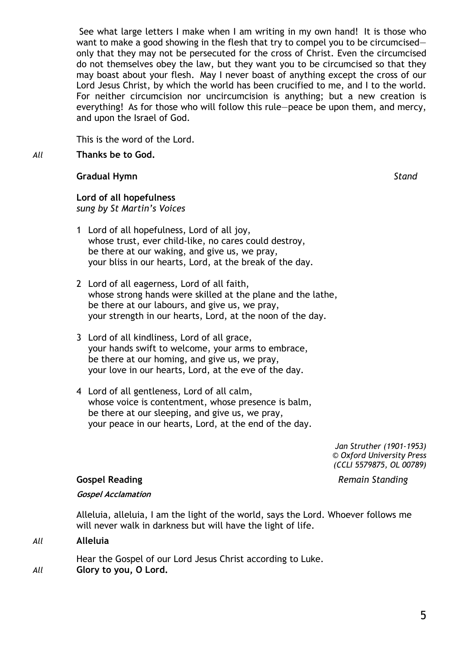See what large letters I make when I am writing in my own hand! It is those who want to make a good showing in the flesh that try to compel you to be circumcised only that they may not be persecuted for the cross of Christ. Even the circumcised do not themselves obey the law, but they want you to be circumcised so that they may boast about your flesh. May I never boast of anything except the cross of our Lord Jesus Christ, by which the world has been crucified to me, and I to the world. For neither circumcision nor uncircumcision is anything; but a new creation is everything! As for those who will follow this rule—peace be upon them, and mercy, and upon the Israel of God.

This is the word of the Lord.

## *All* **Thanks be to God.**

## **Gradual Hymn** *Stand*

**Lord of all hopefulness** *sung by St Martin's Voices*

- 1 Lord of all hopefulness, Lord of all joy, whose trust, ever child-like, no cares could destroy, be there at our waking, and give us, we pray, your bliss in our hearts, Lord, at the break of the day.
- 2 Lord of all eagerness, Lord of all faith, whose strong hands were skilled at the plane and the lathe, be there at our labours, and give us, we pray, your strength in our hearts, Lord, at the noon of the day.
- 3 Lord of all kindliness, Lord of all grace, your hands swift to welcome, your arms to embrace, be there at our homing, and give us, we pray, your love in our hearts, Lord, at the eve of the day.
- 4 Lord of all gentleness, Lord of all calm, whose voice is contentment, whose presence is balm, be there at our sleeping, and give us, we pray, your peace in our hearts, Lord, at the end of the day.

*Jan Struther (1901-1953) © Oxford University Press (CCLI 5579875, OL 00789)*

**Gospel Reading** *Remain Standing*

#### **Gospel Acclamation**

Alleluia, alleluia, I am the light of the world, says the Lord. Whoever follows me will never walk in darkness but will have the light of life.

## *All* **Alleluia**

Hear the Gospel of our Lord Jesus Christ according to Luke. *All* **Glory to you, O Lord.**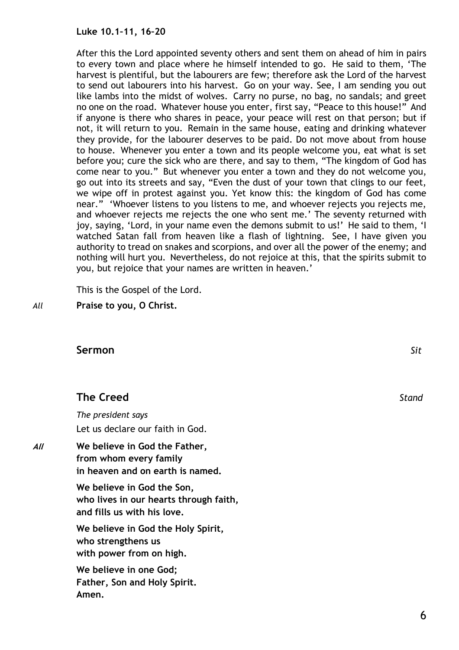#### **Luke 10.1–11, 16–20**

After this the Lord appointed seventy others and sent them on ahead of him in pairs to every town and place where he himself intended to go. He said to them, 'The harvest is plentiful, but the labourers are few; therefore ask the Lord of the harvest to send out labourers into his harvest. Go on your way. See, I am sending you out like lambs into the midst of wolves. Carry no purse, no bag, no sandals; and greet no one on the road. Whatever house you enter, first say, "Peace to this house!" And if anyone is there who shares in peace, your peace will rest on that person; but if not, it will return to you. Remain in the same house, eating and drinking whatever they provide, for the labourer deserves to be paid. Do not move about from house to house. Whenever you enter a town and its people welcome you, eat what is set before you; cure the sick who are there, and say to them, "The kingdom of God has come near to you." But whenever you enter a town and they do not welcome you, go out into its streets and say, "Even the dust of your town that clings to our feet, we wipe off in protest against you. Yet know this: the kingdom of God has come near." 'Whoever listens to you listens to me, and whoever rejects you rejects me, and whoever rejects me rejects the one who sent me.' The seventy returned with joy, saying, 'Lord, in your name even the demons submit to us!' He said to them, 'I watched Satan fall from heaven like a flash of lightning. See, I have given you authority to tread on snakes and scorpions, and over all the power of the enemy; and nothing will hurt you. Nevertheless, do not rejoice at this, that the spirits submit to you, but rejoice that your names are written in heaven.'

This is the Gospel of the Lord.

#### **Sermon** *Sit*

Let us declare our faith in God.

**All We believe in God the Father, from whom every family in heaven and on earth is named.**

*The president says*

**We believe in God the Son, who lives in our hearts through faith, and fills us with his love.**

**We believe in God the Holy Spirit, who strengthens us with power from on high.**

**We believe in one God; Father, Son and Holy Spirit. Amen.**

**The Creed** *Stand*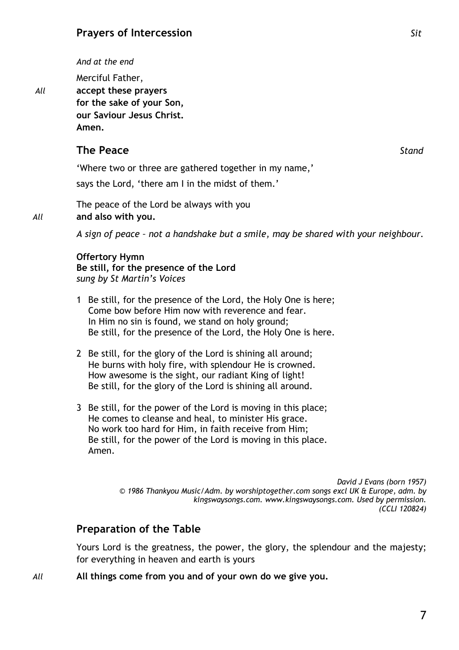Merciful Father,

*All* **accept these prayers for the sake of your Son, our Saviour Jesus Christ. Amen.**

### **The Peace** *Stand*

'Where two or three are gathered together in my name,'

says the Lord, 'there am I in the midst of them.'

The peace of the Lord be always with you *All* **and also with you.**

*A sign of peace – not a handshake but a smile, may be shared with your neighbour.*

#### **Offertory Hymn Be still, for the presence of the Lord** *sung by St Martin's Voices*

- 1 Be still, for the presence of the Lord, the Holy One is here; Come bow before Him now with reverence and fear. In Him no sin is found, we stand on holy ground; Be still, for the presence of the Lord, the Holy One is here.
- 2 Be still, for the glory of the Lord is shining all around; He burns with holy fire, with splendour He is crowned. How awesome is the sight, our radiant King of light! Be still, for the glory of the Lord is shining all around.
- 3 Be still, for the power of the Lord is moving in this place; He comes to cleanse and heal, to minister His grace. No work too hard for Him, in faith receive from Him; Be still, for the power of the Lord is moving in this place. Amen.

*David J Evans (born 1957) © 1986 Thankyou Music/Adm. by worshiptogether.com songs excl UK & Europe, adm. by kingswaysongs.com. www.kingswaysongs.com. Used by permission. (CCLI 120824)*

## **Preparation of the Table**

Yours Lord is the greatness, the power, the glory, the splendour and the majesty; for everything in heaven and earth is yours

*All* **All things come from you and of your own do we give you.**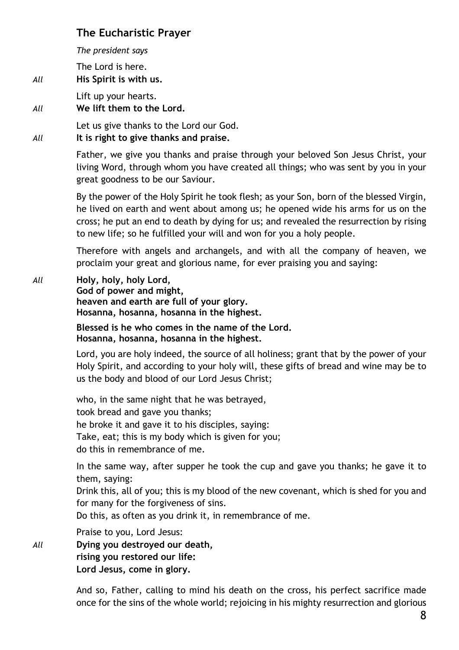## **The Eucharistic Prayer**

*The president says* 

The Lord is here.

*All* **His Spirit is with us.**

Lift up your hearts.

*All* **We lift them to the Lord.**

Let us give thanks to the Lord our God.

*All* **It is right to give thanks and praise.**

Father, we give you thanks and praise through your beloved Son Jesus Christ, your living Word, through whom you have created all things; who was sent by you in your great goodness to be our Saviour.

By the power of the Holy Spirit he took flesh; as your Son, born of the blessed Virgin, he lived on earth and went about among us; he opened wide his arms for us on the cross; he put an end to death by dying for us; and revealed the resurrection by rising to new life; so he fulfilled your will and won for you a holy people.

Therefore with angels and archangels, and with all the company of heaven, we proclaim your great and glorious name, for ever praising you and saying:

*All* **Holy, holy, holy Lord, God of power and might, heaven and earth are full of your glory. Hosanna, hosanna, hosanna in the highest.**

> **Blessed is he who comes in the name of the Lord. Hosanna, hosanna, hosanna in the highest.**

Lord, you are holy indeed, the source of all holiness; grant that by the power of your Holy Spirit, and according to your holy will, these gifts of bread and wine may be to us the body and blood of our Lord Jesus Christ;

who, in the same night that he was betrayed, took bread and gave you thanks; he broke it and gave it to his disciples, saying: Take, eat; this is my body which is given for you; do this in remembrance of me.

In the same way, after supper he took the cup and gave you thanks; he gave it to them, saying:

Drink this, all of you; this is my blood of the new covenant, which is shed for you and for many for the forgiveness of sins.

Do this, as often as you drink it, in remembrance of me.

Praise to you, Lord Jesus:

*All* **Dying you destroyed our death, rising you restored our life: Lord Jesus, come in glory.**

> And so, Father, calling to mind his death on the cross, his perfect sacrifice made once for the sins of the whole world; rejoicing in his mighty resurrection and glorious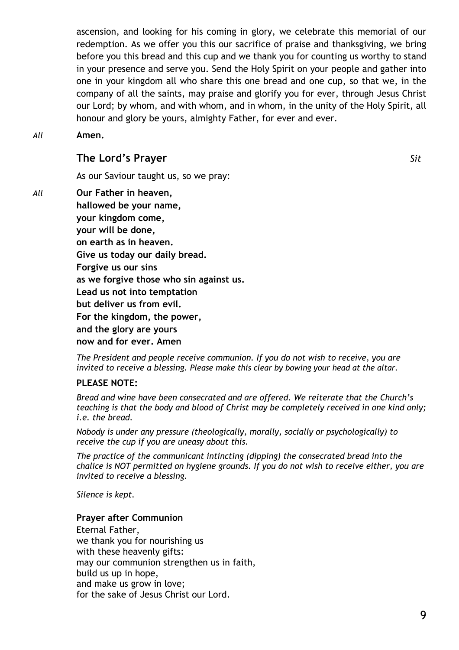ascension, and looking for his coming in glory, we celebrate this memorial of our redemption. As we offer you this our sacrifice of praise and thanksgiving, we bring before you this bread and this cup and we thank you for counting us worthy to stand in your presence and serve you. Send the Holy Spirit on your people and gather into one in your kingdom all who share this one bread and one cup, so that we, in the company of all the saints, may praise and glorify you for ever, through Jesus Christ our Lord; by whom, and with whom, and in whom, in the unity of the Holy Spirit, all honour and glory be yours, almighty Father, for ever and ever.

*All* **Amen.**

### **The Lord's Prayer** *Sit*

As our Saviour taught us, so we pray:

*All* **Our Father in heaven, hallowed be your name, your kingdom come, your will be done, on earth as in heaven. Give us today our daily bread. Forgive us our sins as we forgive those who sin against us. Lead us not into temptation but deliver us from evil. For the kingdom, the power, and the glory are yours now and for ever. Amen**

> *The President and people receive communion. If you do not wish to receive, you are invited to receive a blessing. Please make this clear by bowing your head at the altar.*

#### **PLEASE NOTE:**

*Bread and wine have been consecrated and are offered. We reiterate that the Church's teaching is that the body and blood of Christ may be completely received in one kind only; i.e. the bread.*

*Nobody is under any pressure (theologically, morally, socially or psychologically) to receive the cup if you are uneasy about this.* 

*The practice of the communicant intincting (dipping) the consecrated bread into the chalice is NOT permitted on hygiene grounds. If you do not wish to receive either, you are invited to receive a blessing.* 

*Silence is kept.*

#### **Prayer after Communion**

Eternal Father, we thank you for nourishing us with these heavenly gifts: may our communion strengthen us in faith, build us up in hope, and make us grow in love; for the sake of Jesus Christ our Lord.